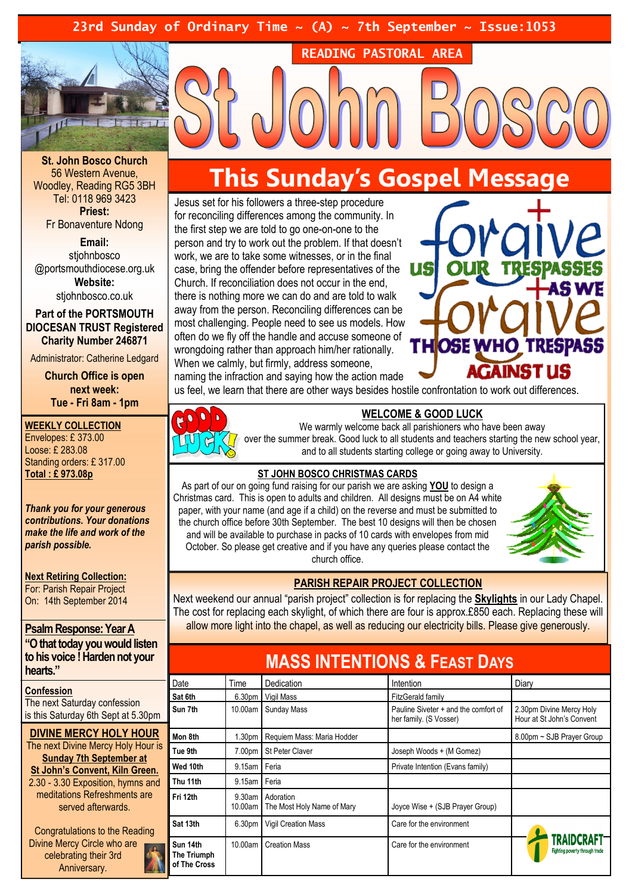23rd Sunday of Ordinary Time  $\sim$  (A)  $\sim$  7th September  $\sim$  Issue:1053



St. John Bosco Church 56 Western Avenue, Woodley, Reading RG5 3BH Tel: 0118 969 3423 Priest: Fr Bonaventure Ndong

Email: stiohnbosco @portsmouthdiocese.org.uk Website:

stjohnbosco.co.uk

Part of the PORTSMOUTH DIOCESAN TRUST Registered Charity Number 246871

Administrator: Catherine Ledgard

Church Office is open next week: Tue - Fri 8am - 1pm

#### WEEKLY COLLECTION

Envelopes: £ 373.00 Loose: £ 283.08 Standing orders: £ 317.00 Total : £ 973.08p

Thank you for your generous contributions. Your donations make the life and work of the parish possible.

Next Retiring Collection: For: Parish Repair Project On: 14th September 2014

#### Psalm Response: Year A

"O that today you would listen to his voice ! Harden not your hearts."

**Confession** The next Saturday confession is this Saturday 6th Sept at 5.30pm

DIVINE MERCY HOLY HOUR The next Divine Mercy Holy Hour is Sunday 7th September at St John's Convent, Kiln Green. 2.30 - 3.30 Exposition, hymns and meditations Refreshments are served afterwards.

Congratulations to the Reading Divine Mercy Circle who are celebrating their 3rd Anniversary.

# This Sunday's Gospel Message

READING PASTORAL AREA

Jesus set for his followers a three-step procedure for reconciling differences among the community. In the first step we are told to go one-on-one to the person and try to work out the problem. If that doesn't work, we are to take some witnesses, or in the final case, bring the offender before representatives of the Church. If reconciliation does not occur in the end, there is nothing more we can do and are told to walk away from the person. Reconciling differences can be most challenging. People need to see us models. How often do we fly off the handle and accuse someone of wrongdoing rather than approach him/her rationally. When we calmly, but firmly, address someone, naming the infraction and saying how the action made



us feel, we learn that there are other ways besides hostile confrontation to work out differences.



#### WELCOME & GOOD LUCK

We warmly welcome back all parishioners who have been away over the summer break. Good luck to all students and teachers starting the new school year, and to all students starting college or going away to University.

### ST JOHN BOSCO CHRISTMAS CARDS

As part of our on going fund raising for our parish we are asking **YOU** to design a Christmas card. This is open to adults and children. All designs must be on A4 white paper, with your name (and age if a child) on the reverse and must be submitted to the church office before 30th September. The best 10 designs will then be chosen and will be available to purchase in packs of 10 cards with envelopes from mid October. So please get creative and if you have any queries please contact the church office.



#### PARISH REPAIR PROJECT COLLECTION

Next weekend our annual "parish project" collection is for replacing the Skylights in our Lady Chapel. The cost for replacing each skylight, of which there are four is approx.£850 each. Replacing these will allow more light into the chapel, as well as reducing our electricity bills. Please give generously.

## MASS INTENTIONS & FEAST DAYS

| Date                                    | Time               | <b>Dedication</b>                       | Intention                                                      | Diary                                                 |
|-----------------------------------------|--------------------|-----------------------------------------|----------------------------------------------------------------|-------------------------------------------------------|
| Sat 6th                                 | 6.30 <sub>pm</sub> | Vigil Mass                              | <b>FitzGerald family</b>                                       |                                                       |
| Sun 7th                                 | 10.00am            | Sunday Mass                             | Pauline Siveter + and the comfort of<br>her family. (S Vosser) | 2.30pm Divine Mercy Holy<br>Hour at St John's Convent |
| Mon 8th                                 | 1.30pm             | Requiem Mass: Maria Hodder              |                                                                | 8.00pm ~ SJB Prayer Group                             |
| Tue 9th                                 | 7.00pm             | <b>St Peter Claver</b>                  | Joseph Woods + (M Gomez)                                       |                                                       |
| Wed 10th                                | 9.15am             | Feria                                   | Private Intention (Evans family)                               |                                                       |
| Thu 11th                                | 9.15am             | Feria                                   |                                                                |                                                       |
| Fri 12th                                | 9.30am<br>10.00am  | Adoration<br>The Most Holy Name of Mary | Joyce Wise + (SJB Prayer Group)                                |                                                       |
| Sat 13th                                | 6.30pm             | <b>Vigil Creation Mass</b>              | Care for the environment                                       |                                                       |
| Sun 14th<br>The Triumph<br>of The Cross | 10.00am            | <b>Creation Mass</b>                    | Care for the environment                                       | TRAIDCRAFT-<br>Fighting poverty through trade         |